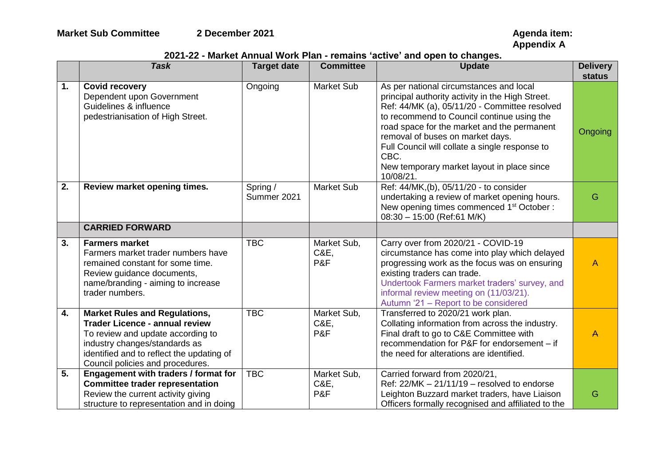**Appendix A**

## **2021-22 - Market Annual Work Plan - remains 'active' and open to changes.**

|                | <b>Task</b>                                                                                                                                                                                                                          | <b>Target date</b>      | <b>Committee</b>           | <b>Update</b>                                                                                                                                                                                                                                                                                                                                                                                      | <b>Delivery</b><br><b>status</b> |
|----------------|--------------------------------------------------------------------------------------------------------------------------------------------------------------------------------------------------------------------------------------|-------------------------|----------------------------|----------------------------------------------------------------------------------------------------------------------------------------------------------------------------------------------------------------------------------------------------------------------------------------------------------------------------------------------------------------------------------------------------|----------------------------------|
| $\mathbf{1}$ . | <b>Covid recovery</b><br>Dependent upon Government<br>Guidelines & influence<br>pedestrianisation of High Street.                                                                                                                    | Ongoing                 | <b>Market Sub</b>          | As per national circumstances and local<br>principal authority activity in the High Street.<br>Ref: 44/MK (a), 05/11/20 - Committee resolved<br>to recommend to Council continue using the<br>road space for the market and the permanent<br>removal of buses on market days.<br>Full Council will collate a single response to<br>CBC.<br>New temporary market layout in place since<br>10/08/21. | Ongoing                          |
| 2.             | Review market opening times.                                                                                                                                                                                                         | Spring /<br>Summer 2021 | <b>Market Sub</b>          | Ref: 44/MK,(b), 05/11/20 - to consider<br>undertaking a review of market opening hours.<br>New opening times commenced 1 <sup>st</sup> October :<br>08:30 - 15:00 (Ref:61 M/K)                                                                                                                                                                                                                     | G                                |
|                | <b>CARRIED FORWARD</b>                                                                                                                                                                                                               |                         |                            |                                                                                                                                                                                                                                                                                                                                                                                                    |                                  |
| 3.             | <b>Farmers market</b><br>Farmers market trader numbers have<br>remained constant for some time.<br>Review guidance documents,<br>name/branding - aiming to increase<br>trader numbers.                                               | <b>TBC</b>              | Market Sub,<br>C&E.<br>P&F | Carry over from 2020/21 - COVID-19<br>circumstance has come into play which delayed<br>progressing work as the focus was on ensuring<br>existing traders can trade.<br>Undertook Farmers market traders' survey, and<br>informal review meeting on (11/03/21).<br>Autumn '21 - Report to be considered                                                                                             | $\overline{A}$                   |
| 4.             | <b>Market Rules and Regulations,</b><br><b>Trader Licence - annual review</b><br>To review and update according to<br>industry changes/standards as<br>identified and to reflect the updating of<br>Council policies and procedures. | <b>TBC</b>              | Market Sub,<br>C&E,<br>P&F | Transferred to 2020/21 work plan.<br>Collating information from across the industry.<br>Final draft to go to C&E Committee with<br>recommendation for P&F for endorsement - if<br>the need for alterations are identified.                                                                                                                                                                         | $\overline{A}$                   |
| 5.             | Engagement with traders / format for<br><b>Committee trader representation</b><br>Review the current activity giving<br>structure to representation and in doing                                                                     | <b>TBC</b>              | Market Sub,<br>C&E,<br>P&F | Carried forward from 2020/21,<br>Ref: $22/MK - 21/11/19$ – resolved to endorse<br>Leighton Buzzard market traders, have Liaison<br>Officers formally recognised and affiliated to the                                                                                                                                                                                                              | G                                |